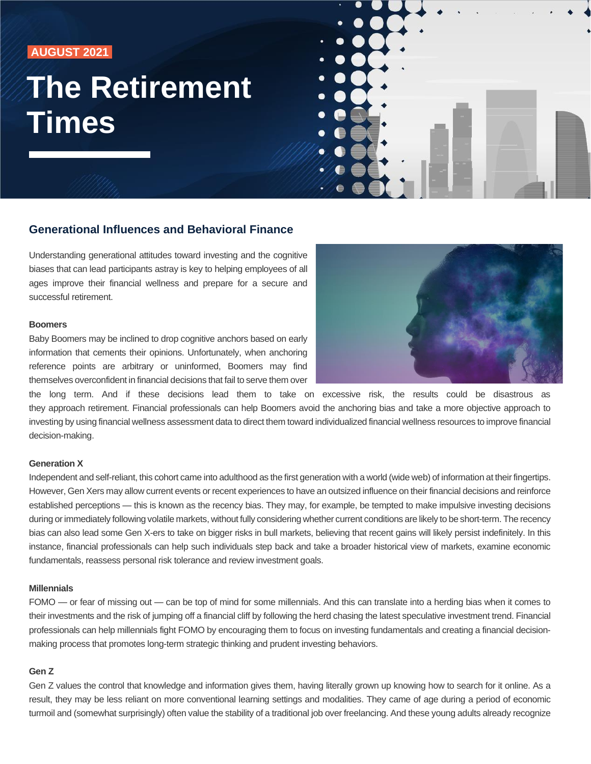# **AUGUST 2021**

# **The Retirement Times**



# **Generational Influences and Behavioral Finance**

Understanding generational attitudes toward investing and the cognitive biases that can lead participants astray is key to helping employees of all ages improve their financial wellness and prepare for a secure and successful retirement.

### **Boomers**

Baby Boomers may be inclined to drop cognitive anchors based on early information that cements their opinions. Unfortunately, when anchoring reference points are arbitrary or uninformed, Boomers may find themselves overconfident in financial decisions that fail to serve them over



the long term. And if these decisions lead them to take on excessive risk, the results could be disastrous as they approach retirement. Financial professionals can help Boomers avoid the anchoring bias and take a more objective approach to investing by using financial wellness assessment data to direct them toward individualized financial wellness resources to improve financial decision-making.

#### **Generation X**

Independent and self-reliant, this cohort came into adulthood as the first generation with a world (wide web) of information at their fingertips. However, Gen Xers may allow current events or recent experiences to have an outsized influence on their financial decisions and reinforce established perceptions — this is known as the recency bias. They may, for example, be tempted to make impulsive investing decisions during or immediately following volatile markets, without fully considering whether current conditions are likely to be short-term. The recency bias can also lead some Gen X-ers to take on bigger risks in bull markets, believing that recent gains will likely persist indefinitely. In this instance, financial professionals can help such individuals step back and take a broader historical view of markets, examine economic fundamentals, reassess personal risk tolerance and review investment goals.

## **Millennials**

FOMO — or fear of missing out — can be top of mind for some millennials. And this can translate into a herding bias when it comes to their investments and the risk of jumping off a financial cliff by following the herd chasing the latest speculative investment trend. Financial professionals can help millennials fight FOMO by encouraging them to focus on investing fundamentals and creating a financial decisionmaking process that promotes long-term strategic thinking and prudent investing behaviors.

#### **Gen Z**

Gen Z values the control that knowledge and information gives them, having literally grown up knowing how to search for it online. As a result, they may be less reliant on more conventional learning settings and modalities. They came of age during a period of economic turmoil and (somewhat surprisingly) often value the stability of a traditional job over freelancing. And these young adults already recognize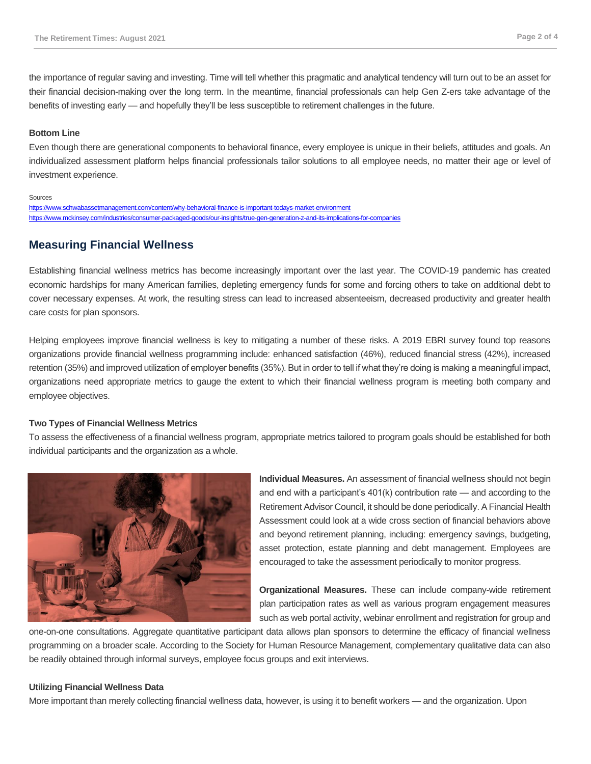the importance of regular saving and investing. Time will tell whether this pragmatic and analytical tendency will turn out to be an asset for their financial decision-making over the long term. In the meantime, financial professionals can help Gen Z-ers take advantage of the benefits of investing early — and hopefully they'll be less susceptible to retirement challenges in the future.

### **Bottom Line**

Even though there are generational components to behavioral finance, every employee is unique in their beliefs, attitudes and goals. An individualized assessment platform helps financial professionals tailor solutions to all employee needs, no matter their age or level of investment experience.

#### Sources

<https://www.schwabassetmanagement.com/content/why-behavioral-finance-is-important-todays-market-environment> <https://www.mckinsey.com/industries/consumer-packaged-goods/our-insights/true-gen-generation-z-and-its-implications-for-companies>

# **Measuring Financial Wellness**

Establishing financial wellness metrics has become increasingly important over the last year. The COVID-19 pandemic has created economic hardships for many American families, depleting emergency funds for some and forcing others to take on additional debt to cover necessary expenses. At work, the resulting stress can lead to increased absenteeism, decreased productivity and greater health care costs for plan sponsors.

Helping employees improve financial wellness is key to mitigating a number of these risks. A 2019 EBRI survey found top reasons organizations provide financial wellness programming include: enhanced satisfaction (46%), reduced financial stress (42%), increased retention (35%) and improved utilization of employer benefits (35%). But in order to tell if what they're doing is making a meaningful impact, organizations need appropriate metrics to gauge the extent to which their financial wellness program is meeting both company and employee objectives.

### **Two Types of Financial Wellness Metrics**

To assess the effectiveness of a financial wellness program, appropriate metrics tailored to program goals should be established for both individual participants and the organization as a whole.



**Individual Measures.** An assessment of financial wellness should not begin and end with a participant's 401(k) contribution rate — and according to the Retirement Advisor Council, it should be done periodically. A Financial Health Assessment could look at a wide cross section of financial behaviors above and beyond retirement planning, including: emergency savings, budgeting, asset protection, estate planning and debt management. Employees are encouraged to take the assessment periodically to monitor progress.

**Organizational Measures.** These can include company-wide retirement plan participation rates as well as various program engagement measures such as web portal activity, webinar enrollment and registration for group and

one-on-one consultations. Aggregate quantitative participant data allows plan sponsors to determine the efficacy of financial wellness programming on a broader scale. According to the Society for Human Resource Management, complementary qualitative data can also be readily obtained through informal surveys, employee focus groups and exit interviews.

#### **Utilizing Financial Wellness Data**

More important than merely collecting financial wellness data, however, is using it to benefit workers — and the organization. Upon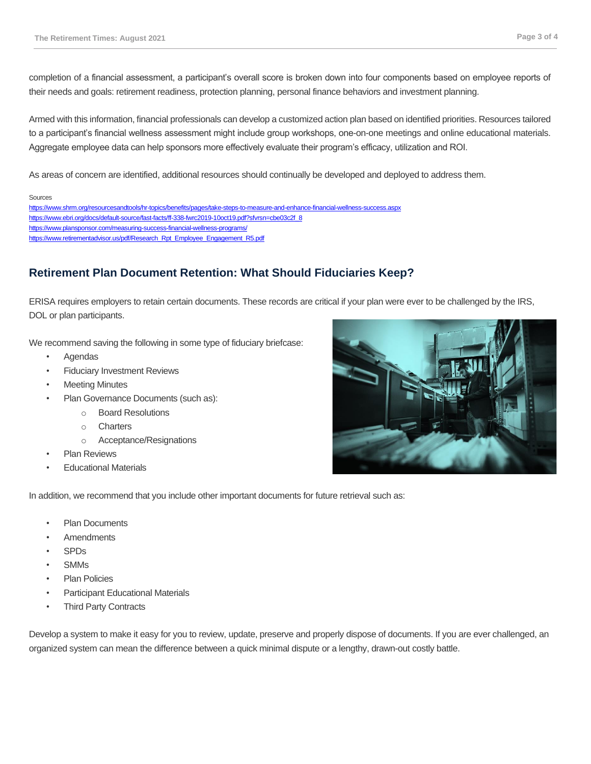completion of a financial assessment, a participant's overall score is broken down into four components based on employee reports of their needs and goals: retirement readiness, protection planning, personal finance behaviors and investment planning.

Armed with this information, financial professionals can develop a customized action plan based on identified priorities. Resources tailored to a participant's financial wellness assessment might include group workshops, one-on-one meetings and online educational materials. Aggregate employee data can help sponsors more effectively evaluate their program's efficacy, utilization and ROI.

As areas of concern are identified, additional resources should continually be developed and deployed to address them.

#### Sources

<https://www.shrm.org/resourcesandtools/hr-topics/benefits/pages/take-steps-to-measure-and-enhance-financial-wellness-success.aspx> [https://www.ebri.org/docs/default-source/fast-facts/ff-338-fwrc2019-10oct19.pdf?sfvrsn=cbe03c2f\\_8](https://www.ebri.org/docs/default-source/fast-facts/ff-338-fwrc2019-10oct19.pdf?sfvrsn=cbe03c2f_8) <https://www.plansponsor.com/measuring-success-financial-wellness-programs/> [https://www.retirementadvisor.us/pdf/Research\\_Rpt\\_Employee\\_Engagement\\_R5.pdf](https://www.retirementadvisor.us/pdf/Research_Rpt_Employee_Engagement_R5.pdf)

# **Retirement Plan Document Retention: What Should Fiduciaries Keep?**

ERISA requires employers to retain certain documents. These records are critical if your plan were ever to be challenged by the IRS, DOL or plan participants.

We recommend saving the following in some type of fiduciary briefcase:

- Agendas
- **Fiduciary Investment Reviews**
- **Meeting Minutes**
- Plan Governance Documents (such as):
	- o Board Resolutions
	- o Charters
	- o Acceptance/Resignations
- **Plan Reviews**
- **Educational Materials**

In addition, we recommend that you include other important documents for future retrieval such as:

- **Plan Documents**
- **Amendments**
- SPDs
- SMMs
- Plan Policies
- Participant Educational Materials
- **Third Party Contracts**

Develop a system to make it easy for you to review, update, preserve and properly dispose of documents. If you are ever challenged, an organized system can mean the difference between a quick minimal dispute or a lengthy, drawn-out costly battle.